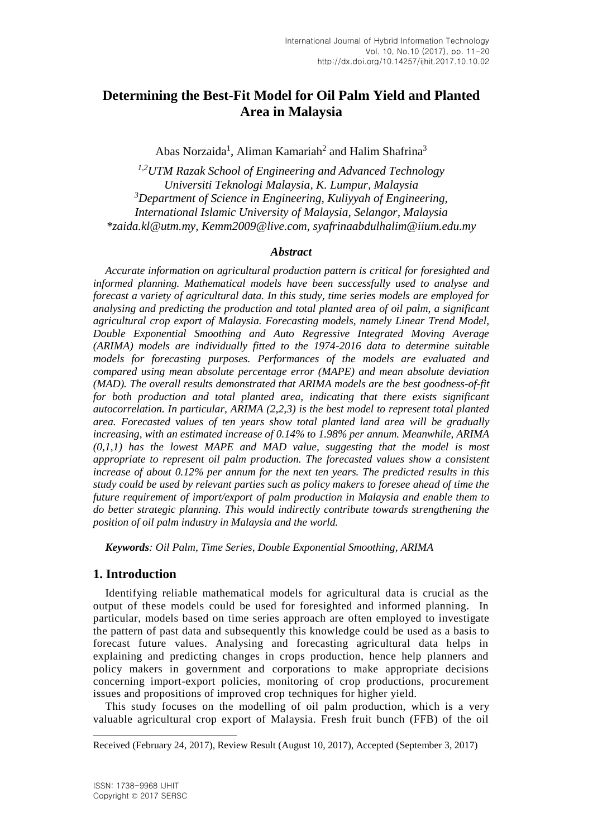# **Determining the Best-Fit Model for Oil Palm Yield and Planted Area in Malaysia**

Abas Norzaida<sup>1</sup>, Aliman Kamariah<sup>2</sup> and Halim Shafrina<sup>3</sup>

*1,2UTM Razak School of Engineering and Advanced Technology Universiti Teknologi Malaysia, K. Lumpur, Malaysia <sup>3</sup>Department of Science in Engineering, Kuliyyah of Engineering, International Islamic University of Malaysia, Selangor, Malaysia \*zaida.kl@utm.my, Kemm2009@live.com, syafrinaabdulhalim@iium.edu.my*

#### *Abstract*

*Accurate information on agricultural production pattern is critical for foresighted and informed planning. Mathematical models have been successfully used to analyse and forecast a variety of agricultural data. In this study, time series models are employed for analysing and predicting the production and total planted area of oil palm, a significant agricultural crop export of Malaysia. Forecasting models, namely Linear Trend Model, Double Exponential Smoothing and Auto Regressive Integrated Moving Average (ARIMA) models are individually fitted to the 1974-2016 data to determine suitable models for forecasting purposes. Performances of the models are evaluated and compared using mean absolute percentage error (MAPE) and mean absolute deviation (MAD). The overall results demonstrated that ARIMA models are the best goodness-of-fit for both production and total planted area, indicating that there exists significant autocorrelation. In particular, ARIMA (2,2,3) is the best model to represent total planted area. Forecasted values of ten years show total planted land area will be gradually increasing, with an estimated increase of 0.14% to 1.98% per annum. Meanwhile, ARIMA (0,1,1) has the lowest MAPE and MAD value, suggesting that the model is most appropriate to represent oil palm production. The forecasted values show a consistent increase of about 0.12% per annum for the next ten years. The predicted results in this study could be used by relevant parties such as policy makers to foresee ahead of time the future requirement of import/export of palm production in Malaysia and enable them to do better strategic planning. This would indirectly contribute towards strengthening the position of oil palm industry in Malaysia and the world.*

*Keywords: Oil Palm, Time Series, Double Exponential Smoothing, ARIMA*

# **1. Introduction**

Identifying reliable mathematical models for agricultural data is crucial as the output of these models could be used for foresighted and informed planning. In particular, models based on time series approach are often employed to investigate the pattern of past data and subsequently this knowledge could be used as a basis to forecast future values. Analysing and forecasting agricultural data helps in explaining and predicting changes in crops production, hence help planners and policy makers in government and corporations to make appropriate decisions concerning import-export policies, monitoring of crop productions, procurement issues and propositions of improved crop techniques for higher yield.

This study focuses on the modelling of oil palm production, which is a very valuable agricultural crop export of Malaysia. Fresh fruit bunch (FFB) of the oil

l

Received (February 24, 2017), Review Result (August 10, 2017), Accepted (September 3, 2017)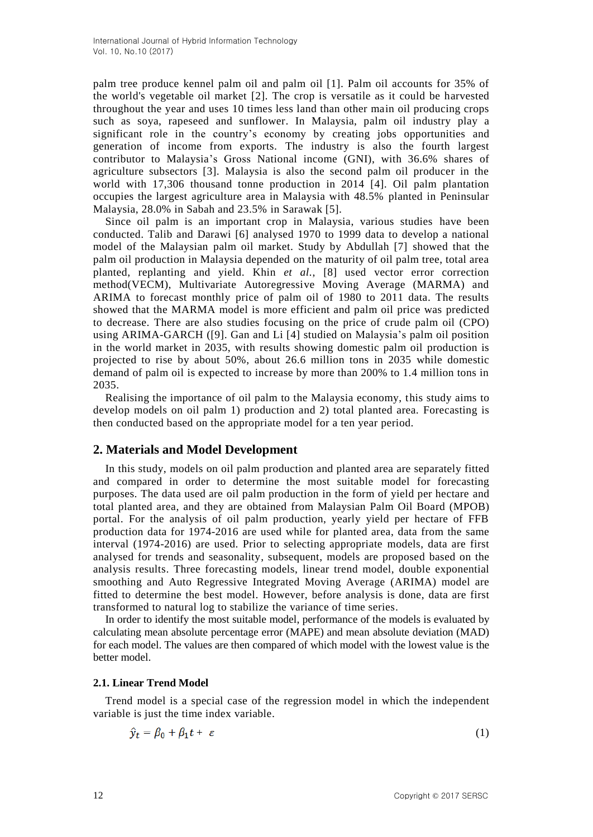palm tree produce kennel palm oil and palm oil [1]. Palm oil accounts for 35% of the world's vegetable oil market [2]. The crop is versatile as it could be harvested throughout the year and uses 10 times less land than other main oil producing crops such as soya, rapeseed and sunflower. In Malaysia, palm oil industry play a significant role in the country's economy by creating jobs opportunities and generation of income from exports. The industry is also the fourth largest contributor to Malaysia's Gross National income (GNI), with 36.6% shares of agriculture subsectors [3]. Malaysia is also the second palm oil producer in the world with 17,306 thousand tonne production in 2014 [4]. Oil palm plantation occupies the largest agriculture area in Malaysia with 48.5% planted in Peninsular Malaysia, 28.0% in Sabah and 23.5% in Sarawak [5].

Since oil palm is an important crop in Malaysia, various studies have been conducted. Talib and Darawi [6] analysed 1970 to 1999 data to develop a national model of the Malaysian palm oil market. Study by Abdullah [7] showed that the palm oil production in Malaysia depended on the maturity of oil palm tree, total area planted, replanting and yield. Khin *et al.*, [8] used vector error correction method(VECM), Multivariate Autoregressive Moving Average (MARMA) and ARIMA to forecast monthly price of palm oil of 1980 to 2011 data. The results showed that the MARMA model is more efficient and palm oil price was predicted to decrease. There are also studies focusing on the price of crude palm oil (CPO) using ARIMA-GARCH ([9]. Gan and Li [4] studied on Malaysia's palm oil position in the world market in 2035, with results showing domestic palm oil production is projected to rise by about 50%, about 26.6 million tons in 2035 while domestic demand of palm oil is expected to increase by more than 200% to 1.4 million tons in 2035.

Realising the importance of oil palm to the Malaysia economy, this study aims to develop models on oil palm 1) production and 2) total planted area. Forecasting is then conducted based on the appropriate model for a ten year period.

# **2. Materials and Model Development**

In this study, models on oil palm production and planted area are separately fitted and compared in order to determine the most suitable model for forecasting purposes. The data used are oil palm production in the form of yield per hectare and total planted area, and they are obtained from Malaysian Palm Oil Board (MPOB) portal. For the analysis of oil palm production, yearly yield per hectare of FFB production data for 1974-2016 are used while for planted area, data from the same interval (1974-2016) are used. Prior to selecting appropriate models, data are first analysed for trends and seasonality, subsequent, models are proposed based on the analysis results. Three forecasting models, linear trend model, double exponential smoothing and Auto Regressive Integrated Moving Average (ARIMA) model are fitted to determine the best model. However, before analysis is done, data are first transformed to natural log to stabilize the variance of time series.

In order to identify the most suitable model, performance of the models is evaluated by calculating mean absolute percentage error (MAPE) and mean absolute deviation (MAD) for each model. The values are then compared of which model with the lowest value is the better model.

#### **2.1. Linear Trend Model**

Trend model is a special case of the regression model in which the independent variable is just the time index variable.

$$
\hat{y}_t = \beta_0 + \beta_1 t + \varepsilon \tag{1}
$$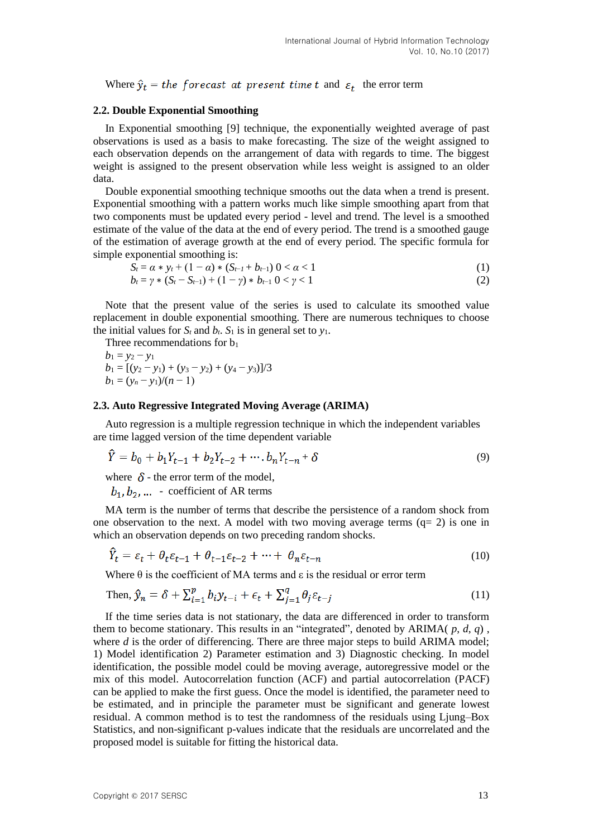Where  $\hat{y}_t$  = the forecast at present time t and  $\varepsilon_t$  the error term

#### **2.2. Double Exponential Smoothing**

In Exponential smoothing [9] technique, the exponentially weighted average of past observations is used as a basis to make forecasting. The size of the weight assigned to each observation depends on the arrangement of data with regards to time. The biggest weight is assigned to the present observation while less weight is assigned to an older data.

Double exponential smoothing technique smooths out the data when a trend is present. Exponential smoothing with a pattern works much like simple smoothing apart from that two components must be updated every period - level and trend. The level is a smoothed estimate of the value of the data at the end of every period. The trend is a smoothed gauge of the estimation of average growth at the end of every period. The specific formula for simple exponential smoothing is:

$$
S_t = \alpha * y_t + (1 - \alpha) * (S_{t-1} + b_{t-1}) 0 < \alpha < 1
$$
 (1)

$$
b_t = \gamma * (S_t - S_{t-1}) + (1 - \gamma) * b_{t-1} \ 0 < \gamma < 1 \tag{2}
$$

Note that the present value of the series is used to calculate its smoothed value replacement in double exponential smoothing. There are numerous techniques to choose the initial values for  $S_t$  and  $b_t$ .  $S_1$  is in general set to  $y_1$ .

Three recommendations for  $b_1$ 

 $b_1 = y_2 - y_1$  $b_1 = [(y_2 - y_1) + (y_3 - y_2) + (y_4 - y_3)]/3$  $b_1 = (y_n - y_1)/(n - 1)$ 

#### **2.3. Auto Regressive Integrated Moving Average (ARIMA)**

Auto regression is a multiple regression technique in which the independent variables are time lagged version of the time dependent variable

$$
\hat{Y} = b_0 + b_1 Y_{t-1} + b_2 Y_{t-2} + \cdots + b_n Y_{t-n} + \delta
$$
\n(9)

where  $\delta$  - the error term of the model,

 $b_1, b_2, \dots$  - coefficient of AR terms

MA term is the number of terms that describe the persistence of a random shock from one observation to the next. A model with two moving average terms  $(q= 2)$  is one in which an observation depends on two preceding random shocks.

$$
Y_t = \varepsilon_t + \theta_t \varepsilon_{t-1} + \theta_{t-1} \varepsilon_{t-2} + \dots + \theta_n \varepsilon_{t-n}
$$
\n(10)

Where  $\theta$  is the coefficient of MA terms and  $\varepsilon$  is the residual or error term

Then, 
$$
\hat{y}_n = \delta + \sum_{i=1}^p b_i y_{t-i} + \epsilon_t + \sum_{j=1}^q \theta_j \epsilon_{t-j}
$$
 (11)

If the time series data is not stationary, the data are differenced in order to transform them to become stationary. This results in an "integrated", denoted by ARIMA( *p*, *d*, *q*) , where *d* is the order of differencing. There are three major steps to build ARIMA model; 1) Model identification 2) Parameter estimation and 3) Diagnostic checking. In model identification, the possible model could be moving average, autoregressive model or the mix of this model. Autocorrelation function (ACF) and partial autocorrelation (PACF) can be applied to make the first guess. Once the model is identified, the parameter need to be estimated, and in principle the parameter must be significant and generate lowest residual. A common method is to test the randomness of the residuals using Ljung–Box Statistics, and non-significant p-values indicate that the residuals are uncorrelated and the proposed model is suitable for fitting the historical data.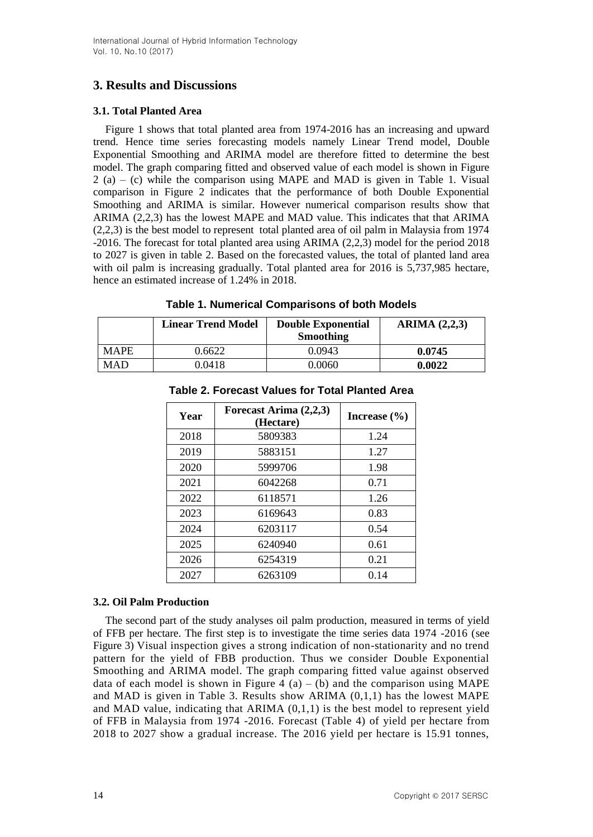# **3. Results and Discussions**

## **3.1. Total Planted Area**

Figure 1 shows that total planted area from 1974-2016 has an increasing and upward trend. Hence time series forecasting models namely Linear Trend model, Double Exponential Smoothing and ARIMA model are therefore fitted to determine the best model. The graph comparing fitted and observed value of each model is shown in Figure  $2(a) - (c)$  while the comparison using MAPE and MAD is given in Table 1. Visual comparison in Figure 2 indicates that the performance of both Double Exponential Smoothing and ARIMA is similar. However numerical comparison results show that ARIMA (2,2,3) has the lowest MAPE and MAD value. This indicates that that ARIMA (2,2,3) is the best model to represent total planted area of oil palm in Malaysia from 1974 -2016. The forecast for total planted area using ARIMA (2,2,3) model for the period 2018 to 2027 is given in table 2. Based on the forecasted values, the total of planted land area with oil palm is increasing gradually. Total planted area for 2016 is 5,737,985 hectare, hence an estimated increase of 1.24% in 2018.

|             | <b>Linear Trend Model</b> | <b>Double Exponential</b><br><b>Smoothing</b> | ARIMA $(2,2,3)$ |
|-------------|---------------------------|-----------------------------------------------|-----------------|
| <b>MAPE</b> | 0.6622                    | 0.0943                                        | 0.0745          |
| MAD         | 0.0418                    | 0.0060                                        | 0.0022          |

# **Table 1. Numerical Comparisons of both Models**

| Year | Forecast Arima (2,2,3)<br>(Hectare) | Increase $(\% )$ |
|------|-------------------------------------|------------------|
| 2018 | 5809383                             | 1.24             |
| 2019 | 5883151                             | 1.27             |
| 2020 | 5999706                             | 1.98             |
| 2021 | 6042268                             | 0.71             |
| 2022 | 6118571                             | 1.26             |
| 2023 | 6169643                             | 0.83             |
| 2024 | 6203117                             | 0.54             |
| 2025 | 6240940                             | 0.61             |
| 2026 | 6254319                             | 0.21             |
| 2027 | 6263109                             | 0.14             |

# **Table 2. Forecast Values for Total Planted Area**

#### **3.2. Oil Palm Production**

The second part of the study analyses oil palm production, measured in terms of yield of FFB per hectare. The first step is to investigate the time series data 1974 -2016 (see Figure 3) Visual inspection gives a strong indication of non-stationarity and no trend pattern for the yield of FBB production. Thus we consider Double Exponential Smoothing and ARIMA model. The graph comparing fitted value against observed data of each model is shown in Figure 4 (a) – (b) and the comparison using MAPE and MAD is given in Table 3. Results show ARIMA  $(0,1,1)$  has the lowest MAPE and MAD value, indicating that ARIMA  $(0,1,1)$  is the best model to represent yield of FFB in Malaysia from 1974 -2016. Forecast (Table 4) of yield per hectare from 2018 to 2027 show a gradual increase. The 2016 yield per hectare is 15.91 tonnes,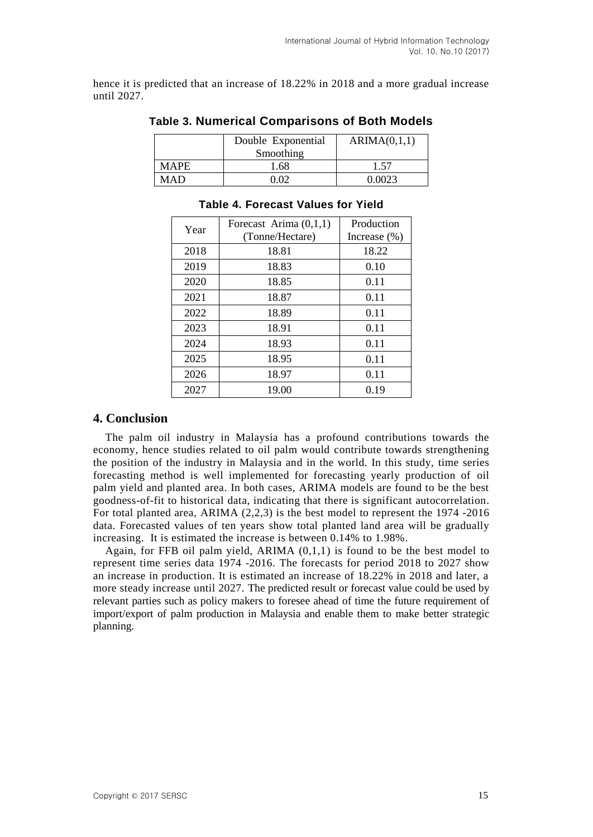hence it is predicted that an increase of 18.22% in 2018 and a more gradual increase until 2027.

|             | Double Exponential<br>Smoothing | ARIMA(0,1,1) |
|-------------|---------------------------------|--------------|
| <b>MAPE</b> | 1.68                            | 1.57         |
| MAD         | ነ በን                            | ገ በበ23       |

#### **Table 3. Numerical Comparisons of Both Models**

| Year | Forecast Arima $(0,1,1)$<br>(Tonne/Hectare) | Production      |
|------|---------------------------------------------|-----------------|
|      |                                             | Increase $(\%)$ |
| 2018 | 18.81                                       | 18.22           |
| 2019 | 18.83                                       | 0.10            |
| 2020 | 18.85                                       | 0.11            |
| 2021 | 18.87                                       | 0.11            |
| 2022 | 18.89                                       | 0.11            |
| 2023 | 18.91                                       | 0.11            |
| 2024 | 18.93                                       | 0.11            |
| 2025 | 18.95                                       | 0.11            |
| 2026 | 18.97                                       | 0.11            |
| 2027 | 19.00                                       | 0.19            |

#### **Table 4. Forecast Values for Yield**

## **4. Conclusion**

The palm oil industry in Malaysia has a profound contributions towards the economy, hence studies related to oil palm would contribute towards strengthening the position of the industry in Malaysia and in the world. In this study, time series forecasting method is well implemented for forecasting yearly production of oil palm yield and planted area. In both cases, ARIMA models are found to be the best goodness-of-fit to historical data, indicating that there is significant autocorrelation. For total planted area, ARIMA (2,2,3) is the best model to represent the 1974 -2016 data. Forecasted values of ten years show total planted land area will be gradually increasing. It is estimated the increase is between 0.14% to 1.98%.

Again, for FFB oil palm yield, ARIMA  $(0,1,1)$  is found to be the best model to represent time series data 1974 -2016. The forecasts for period 2018 to 2027 show an increase in production. It is estimated an increase of 18.22% in 2018 and later, a more steady increase until 2027. The predicted result or forecast value could be used by relevant parties such as policy makers to foresee ahead of time the future requirement of import/export of palm production in Malaysia and enable them to make better strategic planning.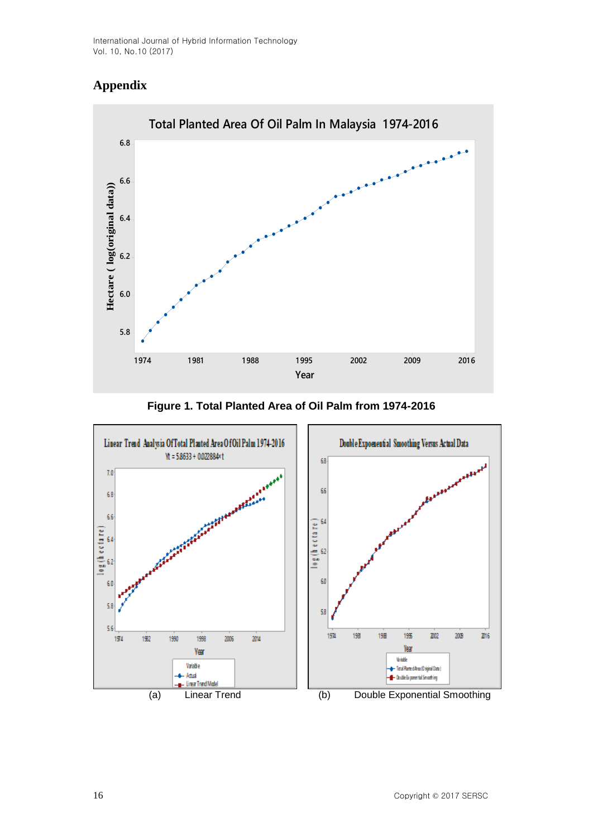# **Appendix**



**Figure 1. Total Planted Area of Oil Palm from 1974-2016**

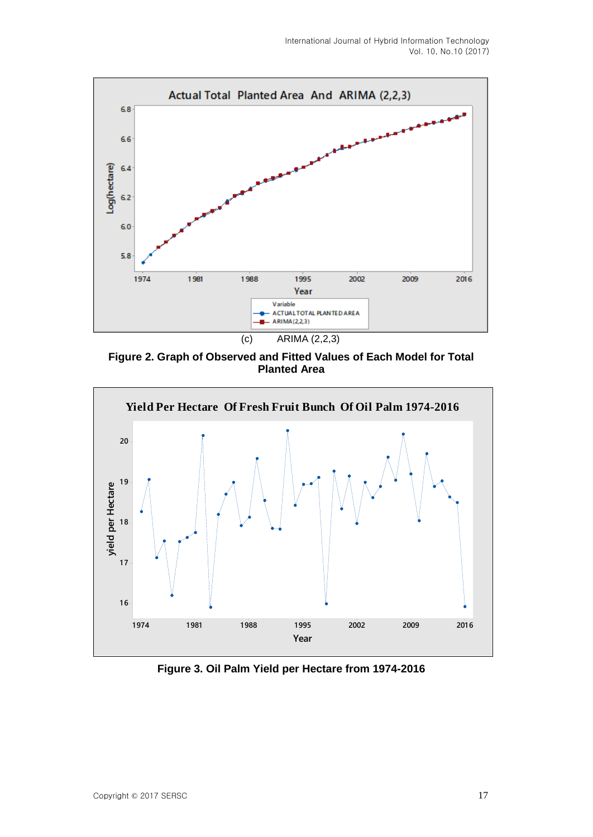

**Figure 2. Graph of Observed and Fitted Values of Each Model for Total Planted Area**



**Figure 3. Oil Palm Yield per Hectare from 1974-2016**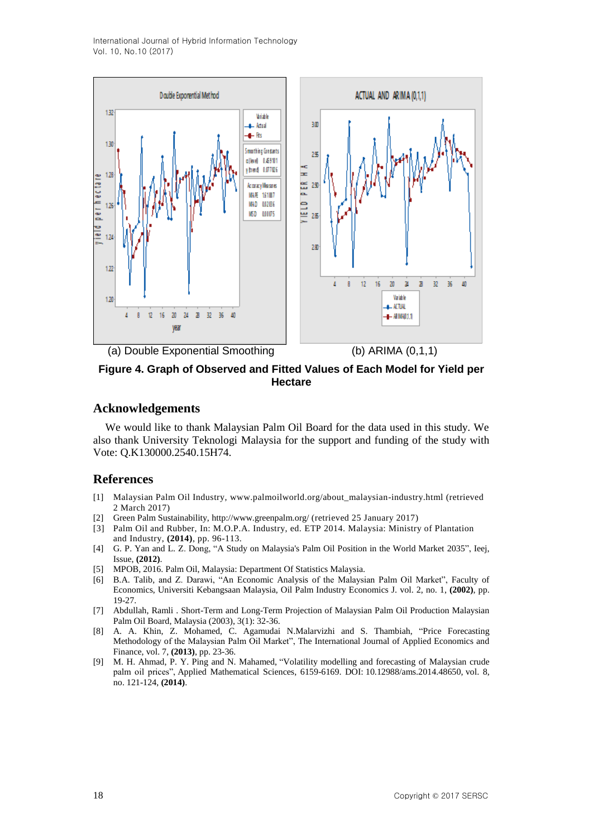International Journal of Hybrid Information Technology Vol. 10, No.10 (2017)



### **Figure 4. Graph of Observed and Fitted Values of Each Model for Yield per Hectare**

### **Acknowledgements**

We would like to thank Malaysian Palm Oil Board for the data used in this study. We also thank University Teknologi Malaysia for the support and funding of the study with Vote: Q.K130000.2540.15H74.

#### **References**

- [1] Malaysian Palm Oil Industry, [www.palmoilworld.org/about\\_malaysian-industry.html](http://www.palmoilworld.org/about_malaysian-industry.html) (retrieved 2 March 2017)
- [2] Green Palm Sustainability[, http://www.greenpalm.org/](http://www.greenpalm.org/) (retrieved 25 January 2017)
- [3] Palm Oil and Rubber, In: M.O.P.A. Industry, ed. ETP 2014. Malaysia: Ministry of Plantation and Industry, **(2014)**, pp. 96-113.
- [4] G. P. Yan and L. Z. Dong, "A Study on Malaysia's Palm Oil Position in the World Market 2035", Ieej, Issue, **(2012)**.
- [5] MPOB, 2016. Palm Oil, Malaysia: Department Of Statistics Malaysia.
- [6] B.A. Talib, and Z. Darawi, "An Economic Analysis of the Malaysian Palm Oil Market", Faculty of Economics, Universiti Kebangsaan Malaysia, Oil Palm Industry Economics J. vol. 2, no. 1, **(2002)**, pp. 19-27.
- [7] Abdullah, Ramli . Short-Term and Long-Term Projection of Malaysian Palm Oil Production Malaysian Palm Oil Board, Malaysia (2003), 3(1): 32-36.
- [8] A. A. Khin, Z. Mohamed, C. Agamudai N.Malarvizhi and S. Thambiah, "Price Forecasting Methodology of the Malaysian Palm Oil Market", The International Journal of Applied Economics and Finance, vol. 7, **(2013)**, pp. 23-36.
- [9] M. H. Ahmad, P. Y. Ping and N. Mahamed, "Volatility modelling and forecasting of Malaysian crude palm oil prices", Applied Mathematical Sciences, 6159-6169. DOI: [10.12988/ams.2014.48650,](http://dx.doi.org/10.12988/ams.2014.48650) vol. 8, no. 121-124, **(2014)**.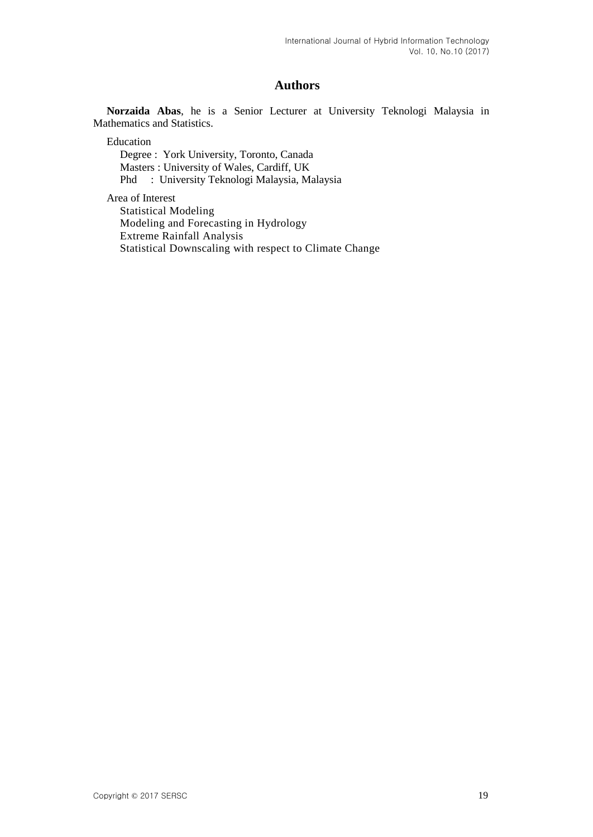# **Authors**

**Norzaida Abas**, he is a Senior Lecturer at University Teknologi Malaysia in Mathematics and Statistics.

Education

Degree : York University, Toronto, Canada Masters : University of Wales, Cardiff, UK Phd : University Teknologi Malaysia, Malaysia

Area of Interest

Statistical Modeling Modeling and Forecasting in Hydrology Extreme Rainfall Analysis Statistical Downscaling with respect to Climate Change